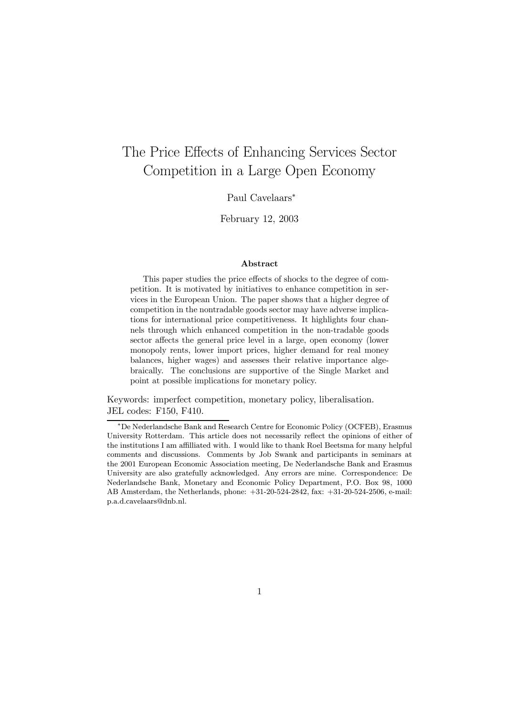# The Price Effects of Enhancing Services Sector Competition in a Large Open Economy

### Paul Cavelaars ¤

February 12, 2003

#### Abstract

This paper studies the price effects of shocks to the degree of competition. It is motivated by initiatives to enhance competition in services in the European Union. The paper shows that a higher degree of competition in the nontradable goods sector may have adverse implications for international price competitiveness. It highlights four channels through which enhanced competition in the non-tradable goods sector affects the general price level in a large, open economy (lower monopoly rents, lower import prices, higher demand for real money balances, higher wages) and assesses their relative importance algebraically. The conclusions are supportive of the Single Market and point at possible implications for monetary policy.

Keywords: imperfect competition, monetary policy, liberalisation. JEL codes: F150, F410.

<sup>¤</sup>De Nederlandsche Bank and Research Centre for Economic Policy (OCFEB), Erasmus University Rotterdam. This article does not necessarily reflect the opinions of either of the institutions I am affilliated with. I would like to thank Roel Beetsma for many helpful comments and discussions. Comments by Job Swank and participants in seminars at the 2001 European Economic Association meeting, De Nederlandsche Bank and Erasmus University are also gratefully acknowledged. Any errors are mine. Correspondence: De Nederlandsche Bank, Monetary and Economic Policy Department, P.O. Box 98, 1000 AB Amsterdam, the Netherlands, phone: +31-20-524-2842, fax: +31-20-524-2506, e-mail: p.a.d.cavelaars@dnb.nl.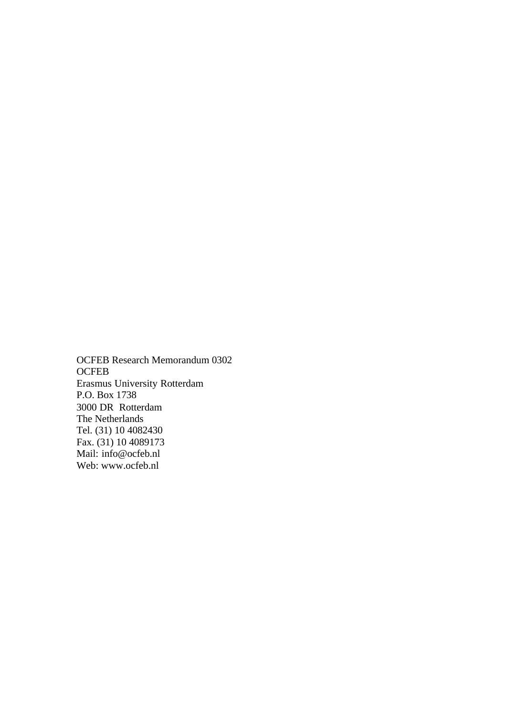OCFEB Research Memorandum 0302 **OCFEB** Erasmus University Rotterdam P.O. Box 1738 3000 DR Rotterdam The Netherlands Tel. (31) 10 4082430 Fax. (31) 10 4089173 Mail: info@ocfeb.nl Web: www.ocfeb.nl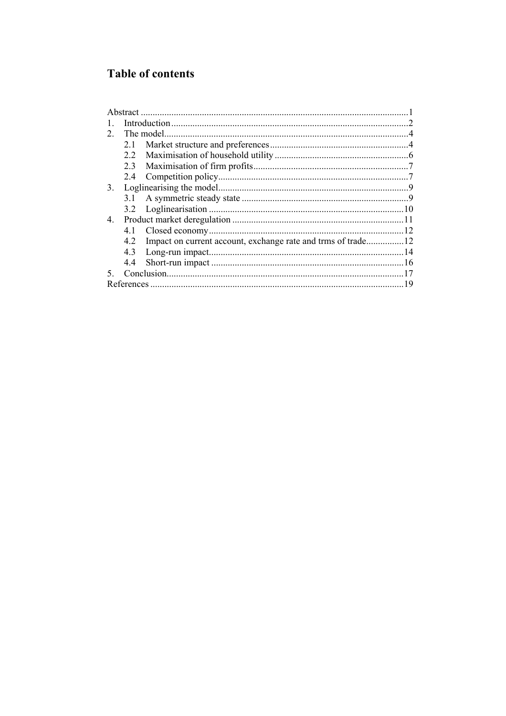# **Table of contents**

| Abstract. |            |  |    |
|-----------|------------|--|----|
|           |            |  |    |
| 2         | The model. |  |    |
|           | 2.1        |  |    |
|           | 2.2        |  |    |
|           | 2.3        |  |    |
|           | 2.4        |  |    |
| 3.        |            |  |    |
|           |            |  |    |
|           | 3.2        |  |    |
| 4.        |            |  |    |
|           | 4.1        |  |    |
|           | 4.2        |  |    |
|           | 4.3        |  |    |
|           | 4.4        |  |    |
|           |            |  |    |
|           |            |  | 19 |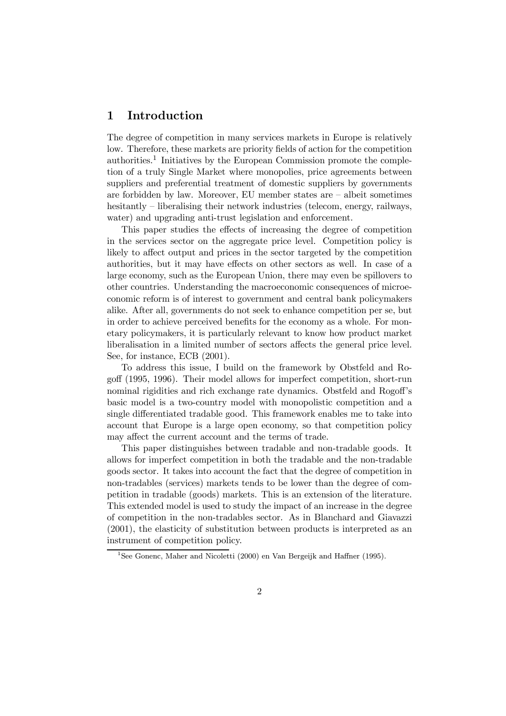# 1 Introduction

The degree of competition in many services markets in Europe is relatively low. Therefore, these markets are priority fields of action for the competition authorities.<sup>1</sup> Initiatives by the European Commission promote the completion of a truly Single Market where monopolies, price agreements between suppliers and preferential treatment of domestic suppliers by governments are forbidden by law. Moreover, EU member states are  $-\text{ albeit}$  sometimes hesitantly – liberalising their network industries (telecom, energy, railways, water) and upgrading anti-trust legislation and enforcement.

This paper studies the effects of increasing the degree of competition in the services sector on the aggregate price level. Competition policy is likely to affect output and prices in the sector targeted by the competition authorities, but it may have effects on other sectors as well. In case of a large economy, such as the European Union, there may even be spillovers to other countries. Understanding the macroeconomic consequences of microeconomic reform is of interest to government and central bank policymakers alike. After all, governments do not seek to enhance competition per se, but in order to achieve perceived benefits for the economy as a whole. For monetary policymakers, it is particularly relevant to know how product market liberalisation in a limited number of sectors affects the general price level. See, for instance, ECB  $(2001)$ .

To address this issue, I build on the framework by Obstfeld and Rogoff (1995, 1996). Their model allows for imperfect competition, short-run nominal rigidities and rich exchange rate dynamics. Obstfeld and Rogoff's basic model is a two-country model with monopolistic competition and a single differentiated tradable good. This framework enables me to take into account that Europe is a large open economy, so that competition policy may affect the current account and the terms of trade.

This paper distinguishes between tradable and non-tradable goods. It allows for imperfect competition in both the tradable and the non-tradable goods sector. It takes into account the fact that the degree of competition in non-tradables (services) markets tends to be lower than the degree of competition in tradable (goods) markets. This is an extension of the literature. This extended model is used to study the impact of an increase in the degree of competition in the non-tradables sector. As in Blanchard and Giavazzi (2001), the elasticity of substitution between products is interpreted as an instrument of competition policy.

<sup>&</sup>lt;sup>1</sup>See Gonenc, Maher and Nicoletti (2000) en Van Bergeijk and Haffner (1995).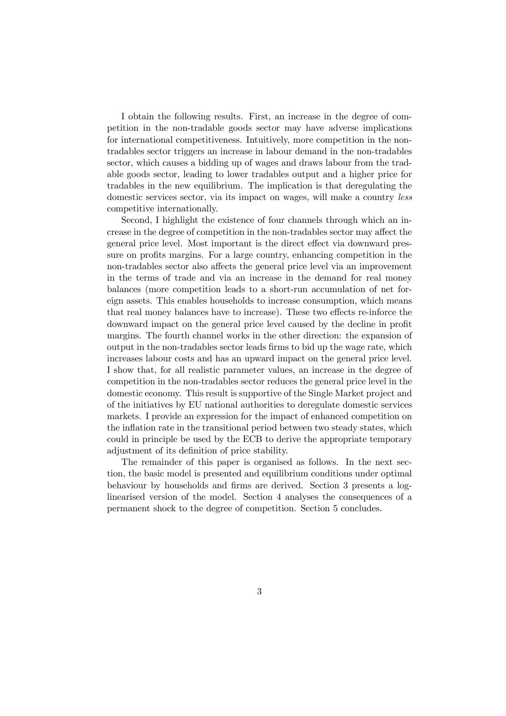I obtain the following results. First, an increase in the degree of competition in the non-tradable goods sector may have adverse implications for international competitiveness. Intuitively, more competition in the nontradables sector triggers an increase in labour demand in the non-tradables sector, which causes a bidding up of wages and draws labour from the tradable goods sector, leading to lower tradables output and a higher price for tradables in the new equilibrium. The implication is that deregulating the domestic services sector, via its impact on wages, will make a country less competitive internationally.

Second, I highlight the existence of four channels through which an increase in the degree of competition in the non-tradables sector may affect the general price level. Most important is the direct effect via downward pressure on profits margins. For a large country, enhancing competition in the non-tradables sector also affects the general price level via an improvement in the terms of trade and via an increase in the demand for real money balances (more competition leads to a short-run accumulation of net foreign assets. This enables households to increase consumption, which means that real money balances have to increase). These two effects re-inforce the downward impact on the general price level caused by the decline in profit margins. The fourth channel works in the other direction: the expansion of output in the non-tradables sector leads firms to bid up the wage rate, which increases labour costs and has an upward impact on the general price level. I show that, for all realistic parameter values, an increase in the degree of competition in the non-tradables sector reduces the general price level in the domestic economy. This result is supportive of the Single Market project and of the initiatives by EU national authorities to deregulate domestic services markets. I provide an expression for the impact of enhanced competition on the inflation rate in the transitional period between two steady states, which could in principle be used by the ECB to derive the appropriate temporary adjustment of its definition of price stability.

The remainder of this paper is organised as follows. In the next section, the basic model is presented and equilibrium conditions under optimal behaviour by households and firms are derived. Section 3 presents a loglinearised version of the model. Section 4 analyses the consequences of a permanent shock to the degree of competition. Section 5 concludes.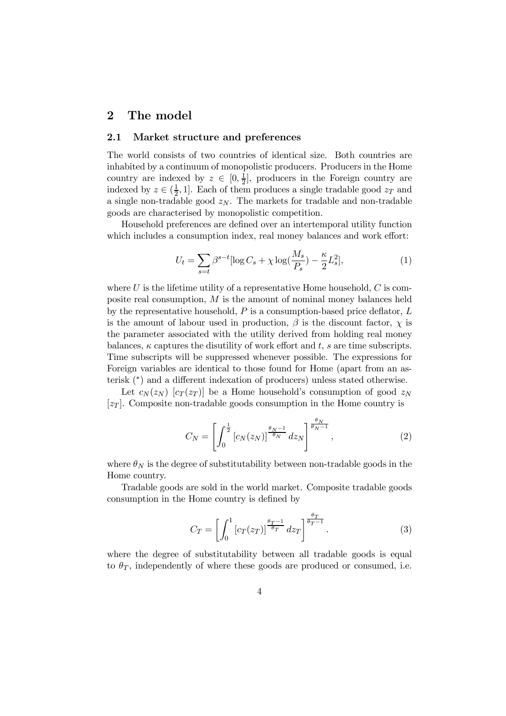## 2 The model

### 2.1 Market structure and preferences

The world consists of two countries of identical size. Both countries are inhabited by a continuum of monopolistic producers. Producers in the Home country are indexed by  $z \in [0, \frac{1}{2}]$  $\frac{1}{2}$ , producers in the Foreign country are indexed by  $z \in (\frac{1}{2})$  $\frac{1}{2}$ , 1]. Each of them produces a single tradable good  $z_T$  and a single non-tradable good  $z_N$ . The markets for tradable and non-tradable goods are characterised by monopolistic competition.

Household preferences are defined over an intertemporal utility function which includes a consumption index, real money balances and work effort:

$$
U_t = \sum_{s=t} \beta^{s-t} [\log C_s + \chi \log(\frac{M_s}{P_s}) - \frac{\kappa}{2} L_s^2],\tag{1}
$$

where U is the lifetime utility of a representative Home household,  $C$  is composite real consumption,  $M$  is the amount of nominal money balances held by the representative household,  $P$  is a consumption-based price deflator,  $L$ is the amount of labour used in production,  $\beta$  is the discount factor,  $\chi$  is the parameter associated with the utility derived from holding real money balances,  $\kappa$  captures the disutility of work effort and t, s are time subscripts. Time subscripts will be suppressed whenever possible. The expressions for Foreign variables are identical to those found for Home (apart from an asterisk (\*) and a different indexation of producers) unless stated otherwise.

Let  $c_N(z_N)$  [ $c_T(z_T)$ ] be a Home household's consumption of good  $z_N$  $[z_T]$ . Composite non-tradable goods consumption in the Home country is

$$
C_N = \left[ \int_0^{\frac{1}{2}} \left[ c_N(z_N) \right]^{\frac{\theta_N - 1}{\theta_N}} dz_N \right]^{\frac{\theta_N}{\theta_N - 1}}, \tag{2}
$$

where  $\theta_N$  is the degree of substitutability between non-tradable goods in the Home country.

Tradable goods are sold in the world market. Composite tradable goods consumption in the Home country is defined by

$$
C_T = \left[ \int_0^1 \left[ c_T(z_T) \right]^{\frac{\theta_T - 1}{\theta_T}} dz_T \right]^{\frac{\theta_T}{\theta_T - 1}}.
$$
 (3)

where the degree of substitutability between all tradable goods is equal to  $\theta_T$ , independently of where these goods are produced or consumed, i.e.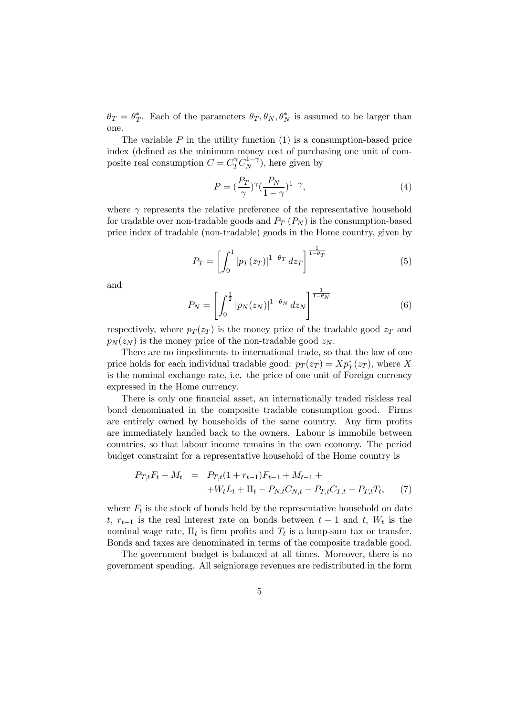$\theta_T = \theta_T^*$ . Each of the parameters  $\theta_T, \theta_N, \theta_N^*$  is assumed to be larger than one.

The variable  $P$  in the utility function  $(1)$  is a consumption-based price index (defined as the minimum money cost of purchasing one unit of composite real consumption  $C = C_T^{\gamma} C_N^{1-\gamma}$ , here given by

$$
P = \left(\frac{P_T}{\gamma}\right)^{\gamma} \left(\frac{P_N}{1-\gamma}\right)^{1-\gamma},\tag{4}
$$

where  $\gamma$  represents the relative preference of the representative household for tradable over non-tradable goods and  $P_T(P_N)$  is the consumption-based price index of tradable (non-tradable) goods in the Home country, given by

$$
P_T = \left[ \int_0^1 \left[ p_T(z_T) \right]^{1-\theta_T} dz_T \right]^{\frac{1}{1-\theta_T}} \tag{5}
$$

and

$$
P_N = \left[ \int_0^{\frac{1}{2}} \left[ p_N(z_N) \right]^{1 - \theta_N} dz_N \right]^{\frac{1}{1 - \theta_N}}
$$
(6)

respectively, where  $p_T(z_T)$  is the money price of the tradable good  $z_T$  and  $p_N(z_N)$  is the money price of the non-tradable good  $z_N$ .

There are no impediments to international trade, so that the law of one price holds for each individual tradable good:  $p_T(z_T) = X p_T^*(z_T)$ , where X is the nominal exchange rate, i.e. the price of one unit of Foreign currency expressed in the Home currency.

There is only one financial asset, an internationally traded riskless real bond denominated in the composite tradable consumption good. Firms are entirely owned by households of the same country. Any firm profits are immediately handed back to the owners. Labour is immobile between countries, so that labour income remains in the own economy. The period budget constraint for a representative household of the Home country is

$$
P_{T,t}F_t + M_t = P_{T,t}(1 + r_{t-1})F_{t-1} + M_{t-1} ++ W_t L_t + \Pi_t - P_{N,t} C_{N,t} - P_{T,t} C_{T,t} - P_{T,t} T_t,
$$
 (7)

where  $F_t$  is the stock of bonds held by the representative household on date  $t, r_{t-1}$  is the real interest rate on bonds between  $t-1$  and  $t, W_t$  is the nominal wage rate,  $\Pi_t$  is firm profits and  $T_t$  is a lump-sum tax or transfer. Bonds and taxes are denominated in terms of the composite tradable good.

The government budget is balanced at all times. Moreover, there is no government spending. All seigniorage revenues are redistributed in the form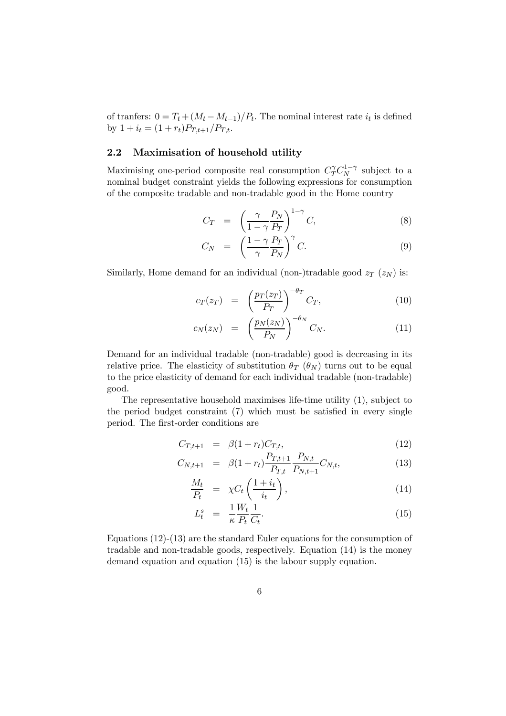of tranfers:  $0 = T_t + (M_t - M_{t-1})/P_t$ . The nominal interest rate  $i_t$  is defined by  $1 + i_t = (1 + r_t)P_{T,t+1}/P_{T,t}.$ 

### 2.2 Maximisation of household utility

Maximising one-period composite real consumption  $C_T^{\gamma} C_N^{1-\gamma}$  subject to a nominal budget constraint yields the following expressions for consumption of the composite tradable and non-tradable good in the Home country

$$
C_T = \left(\frac{\gamma}{1-\gamma} \frac{P_N}{P_T}\right)^{1-\gamma} C, \tag{8}
$$

$$
C_N = \left(\frac{1-\gamma}{\gamma} \frac{P_T}{P_N}\right)^{\gamma} C. \tag{9}
$$

Similarly, Home demand for an individual (non-)tradable good  $z_T$  ( $z_N$ ) is:

$$
c_T(z_T) = \left(\frac{p_T(z_T)}{P_T}\right)^{-\theta_T} C_T, \qquad (10)
$$

$$
c_N(z_N) = \left(\frac{p_N(z_N)}{P_N}\right)^{-\theta_N} C_N.
$$
 (11)

Demand for an individual tradable (non-tradable) good is decreasing in its relative price. The elasticity of substitution  $\theta_T$  ( $\theta_N$ ) turns out to be equal to the price elasticity of demand for each individual tradable (non-tradable) good.

The representative household maximises life-time utility (1), subject to the period budget constraint  $(7)$  which must be satisfied in every single period. The first-order conditions are

$$
C_{T,t+1} = \beta(1+r_t)C_{T,t}, \tag{12}
$$

$$
C_{N,t+1} = \beta(1+r_t) \frac{P_{T,t+1}}{P_{T,t}} \frac{P_{N,t}}{P_{N,t+1}} C_{N,t}, \qquad (13)
$$

$$
\frac{M_t}{P_t} = \chi C_t \left( \frac{1 + i_t}{i_t} \right),\tag{14}
$$

$$
L_t^s = \frac{1}{\kappa} \frac{W_t}{P_t} \frac{1}{C_t}.
$$
\n(15)

Equations (12)-(13) are the standard Euler equations for the consumption of tradable and non-tradable goods, respectively. Equation (14) is the money demand equation and equation (15) is the labour supply equation.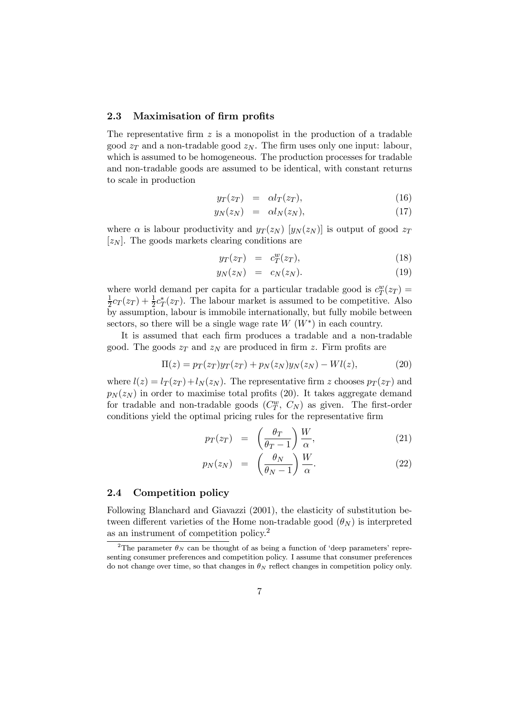### 2.3 Maximisation of firm profits

The representative firm  $z$  is a monopolist in the production of a tradable good  $z_T$  and a non-tradable good  $z_N$ . The firm uses only one input: labour, which is assumed to be homogeneous. The production processes for tradable and non-tradable goods are assumed to be identical, with constant returns to scale in production

$$
y_T(z_T) = \alpha l_T(z_T), \qquad (16)
$$

$$
y_N(z_N) = \alpha l_N(z_N), \qquad (17)
$$

where  $\alpha$  is labour productivity and  $y_T(z_N)$  [ $y_N(z_N)$ ] is output of good  $z_T$  $[z_N]$ . The goods markets clearing conditions are

$$
y_T(z_T) = c_T^w(z_T), \tag{18}
$$

$$
y_N(z_N) = c_N(z_N). \tag{19}
$$

where world demand per capita for a particular tradable good is  $c_T^w(z_T) =$ 1  $\frac{1}{2}c_T(z_T) + \frac{1}{2}$  $\frac{1}{2}c_T^*(z_T)$ . The labour market is assumed to be competitive. Also by assumption, labour is immobile internationally, but fully mobile between sectors, so there will be a single wage rate  $W(W^*)$  in each country.

It is assumed that each firm produces a tradable and a non-tradable good. The goods  $z_T$  and  $z_N$  are produced in firm z. Firm profits are

$$
\Pi(z) = p_T(z_T)y_T(z_T) + p_N(z_N)y_N(z_N) - Wl(z),
$$
\n(20)

where  $l(z) = l_T(z_T) + l_N(z_N)$ . The representative firm z chooses  $p_T(z_T)$  and  $p_N(z_N)$  in order to maximise total profits (20). It takes aggregate demand for tradable and non-tradable goods  $(C_T^w, C_N)$  as given. The first-order conditions yield the optimal pricing rules for the representative firm

$$
p_T(z_T) = \left(\frac{\theta_T}{\theta_T - 1}\right) \frac{W}{\alpha},\tag{21}
$$

$$
p_N(z_N) = \left(\frac{\theta_N}{\theta_N - 1}\right) \frac{W}{\alpha}.\tag{22}
$$

#### 2.4 Competition policy

Following Blanchard and Giavazzi (2001), the elasticity of substitution between different varieties of the Home non-tradable good  $(\theta_N)$  is interpreted as an instrument of competition policy. 2

<sup>&</sup>lt;sup>2</sup>The parameter  $\theta_N$  can be thought of as being a function of 'deep parameters' representing consumer preferences and competition policy. I assume that consumer preferences do not change over time, so that changes in  $\theta_N$  reflect changes in competition policy only.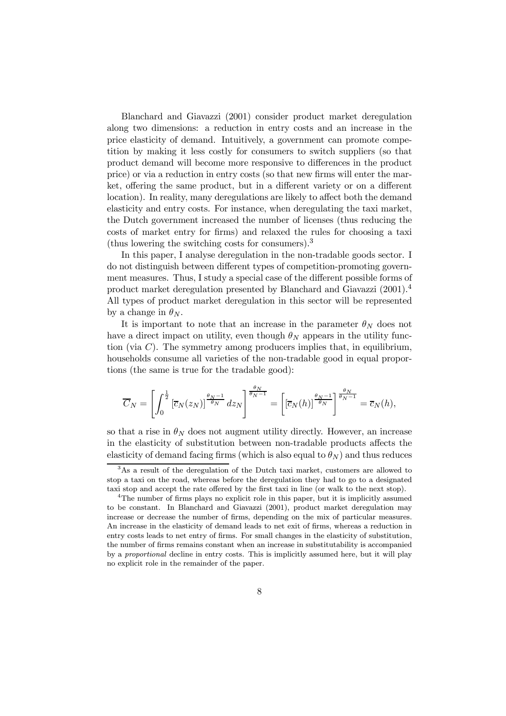Blanchard and Giavazzi (2001) consider product market deregulation along two dimensions: a reduction in entry costs and an increase in the price elasticity of demand. Intuitively, a government can promote competition by making it less costly for consumers to switch suppliers (so that product demand will become more responsive to differences in the product price) or via a reduction in entry costs (so that new firms will enter the market, offering the same product, but in a different variety or on a different location). In reality, many deregulations are likely to affect both the demand elasticity and entry costs. For instance, when deregulating the taxi market, the Dutch government increased the number of licenses (thus reducing the costs of market entry for firms) and relaxed the rules for choosing a taxi (thus lowering the switching costs for consumers). 3

In this paper, I analyse deregulation in the non-tradable goods sector. I do not distinguish between different types of competition-promoting government measures. Thus, I study a special case of the different possible forms of product market deregulation presented by Blanchard and Giavazzi (2001).<sup>4</sup> All types of product market deregulation in this sector will be represented by a change in  $\theta_N$ .

It is important to note that an increase in the parameter  $\theta_N$  does not have a direct impact on utility, even though  $\theta_N$  appears in the utility function (via  $C$ ). The symmetry among producers implies that, in equilibrium, households consume all varieties of the non-tradable good in equal proportions (the same is true for the tradable good):

$$
\overline{C}_N = \left[\int_0^{\frac{1}{2}} \left[\overline{c}_N(z_N)\right]^{\frac{\theta_N-1}{\theta_N}} dz_N\right]^{\frac{\theta_N}{\theta_N-1}} = \left[\left[\overline{c}_N(h)\right]^{\frac{\theta_N-1}{\theta_N}}\right]^{\frac{\theta_N}{\theta_N-1}} = \overline{c}_N(h),
$$

so that a rise in  $\theta_N$  does not augment utility directly. However, an increase in the elasticity of substitution between non-tradable products affects the elasticity of demand facing firms (which is also equal to  $\theta_N$ ) and thus reduces

<sup>3</sup>As a result of the deregulation of the Dutch taxi market, customers are allowed to stop a taxi on the road, whereas before the deregulation they had to go to a designated taxi stop and accept the rate offered by the first taxi in line (or walk to the next stop).

<sup>&</sup>lt;sup>4</sup>The number of firms plays no explicit role in this paper, but it is implicitly assumed to be constant. In Blanchard and Giavazzi (2001), product market deregulation may increase or decrease the number of firms, depending on the mix of particular measures. An increase in the elasticity of demand leads to net exit of firms, whereas a reduction in entry costs leads to net entry of firms. For small changes in the elasticity of substitution, the number of firms remains constant when an increase in substitutability is accompanied by a proportional decline in entry costs. This is implicitly assumed here, but it will play no explicit role in the remainder of the paper.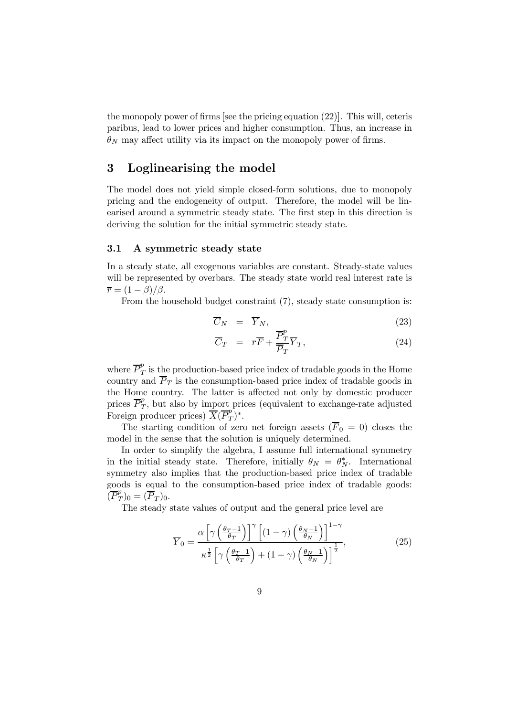the monopoly power of firms [see the pricing equation  $(22)$ ]. This will, ceteris paribus, lead to lower prices and higher consumption. Thus, an increase in  $\theta_N$  may affect utility via its impact on the monopoly power of firms.

# 3 Loglinearising the model

The model does not yield simple closed-form solutions, due to monopoly pricing and the endogeneity of output. Therefore, the model will be linearised around a symmetric steady state. The first step in this direction is deriving the solution for the initial symmetric steady state.

### 3.1 A symmetric steady state

In a steady state, all exogenous variables are constant. Steady-state values will be represented by overbars. The steady state world real interest rate is  $\overline{r} = (1 - \beta)/\beta.$ 

From the household budget constraint  $(7)$ , steady state consumption is:

$$
\overline{C}_N = \overline{Y}_N, \tag{23}
$$

$$
\overline{C}_T = \overline{r}\overline{F} + \frac{\overline{P}_T^p}{\overline{P}_T}\overline{Y}_T, \qquad (24)
$$

where  $\overline{P}_7^p$  $T<sub>T</sub><sup>P</sup>$  is the production-based price index of tradable goods in the Home country and  $\overline{P}_T$  is the consumption-based price index of tradable goods in the Home country. The latter is affected not only by domestic producer prices  $\overline{P}_T^p$  $T<sub>T</sub>$ , but also by import prices (equivalent to exchange-rate adjusted Foreign producer prices)  $\overline{X}(\overline{P}_7^p)$  $(T^{\prime})^*$ .

The starting condition of zero net foreign assets  $(\overline{F}_0 = 0)$  closes the model in the sense that the solution is uniquely determined.

In order to simplify the algebra, I assume full international symmetry in the initial steady state. Therefore, initially  $\theta_N = \theta_N^*$ . International symmetry also implies that the production-based price index of tradable goods is equal to the consumption-based price index of tradable goods:  $\breve{\overline{P^p_1}}$  $(T_T^P)_0 = (P_T)_0.$ 

The steady state values of output and the general price level are

$$
\overline{Y}_0 = \frac{\alpha \left[ \gamma \left( \frac{\theta_T - 1}{\theta_T} \right) \right]^\gamma \left[ (1 - \gamma) \left( \frac{\theta_N - 1}{\theta_N} \right) \right]^{1 - \gamma}}{\kappa^{\frac{1}{2}} \left[ \gamma \left( \frac{\theta_T - 1}{\theta_T} \right) + (1 - \gamma) \left( \frac{\theta_N - 1}{\theta_N} \right) \right]^{\frac{1}{2}}},\tag{25}
$$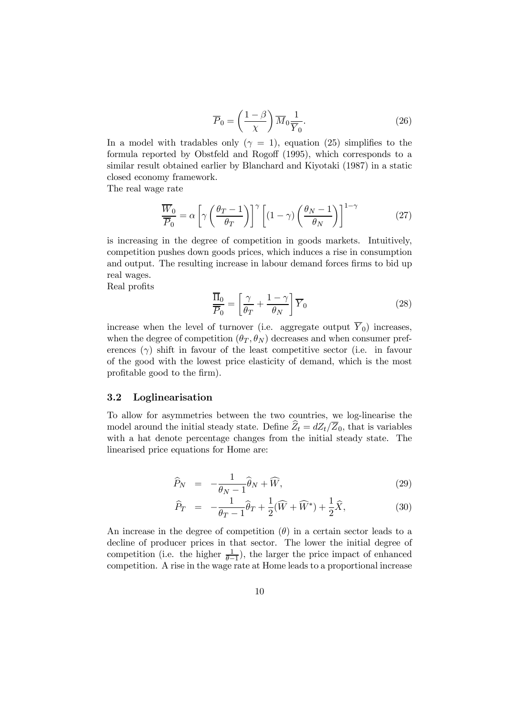$$
\overline{P}_0 = \left(\frac{1-\beta}{\chi}\right) \overline{M}_0 \frac{1}{\overline{Y}_0}.
$$
\n(26)

In a model with tradables only ( $\gamma = 1$ ), equation (25) simplifies to the formula reported by Obstfeld and Rogoff (1995), which corresponds to a similar result obtained earlier by Blanchard and Kiyotaki (1987) in a static closed economy framework.

The real wage rate

$$
\frac{\overline{W}_0}{\overline{P}_0} = \alpha \left[ \gamma \left( \frac{\theta_T - 1}{\theta_T} \right) \right]^\gamma \left[ (1 - \gamma) \left( \frac{\theta_N - 1}{\theta_N} \right) \right]^{1 - \gamma} \tag{27}
$$

is increasing in the degree of competition in goods markets. Intuitively, competition pushes down goods prices, which induces a rise in consumption and output. The resulting increase in labour demand forces firms to bid up real wages.

Real profits

$$
\frac{\overline{\Pi}_0}{\overline{P}_0} = \left[\frac{\gamma}{\theta_T} + \frac{1-\gamma}{\theta_N}\right] \overline{Y}_0
$$
\n(28)

increase when the level of turnover (i.e. aggregate output  $\overline{Y}_0$ ) increases, when the degree of competition  $(\theta_T, \theta_N)$  decreases and when consumer preferences  $(\gamma)$  shift in favour of the least competitive sector (i.e. in favour of the good with the lowest price elasticity of demand, which is the most profitable good to the firm).

### 3.2 Loglinearisation

To allow for asymmetries between the two countries, we log-linearise the model around the initial steady state. Define  $\widehat{Z}_t = dZ_t/\overline{Z}_0$ , that is variables with a hat denote percentage changes from the initial steady state. The linearised price equations for Home are:

$$
\widehat{P}_N = -\frac{1}{\theta_N - 1} \widehat{\theta}_N + \widehat{W},\tag{29}
$$

$$
\widehat{P}_T = -\frac{1}{\theta_T - 1}\widehat{\theta}_T + \frac{1}{2}(\widehat{W} + \widehat{W}^*) + \frac{1}{2}\widehat{X},\tag{30}
$$

An increase in the degree of competition  $(\theta)$  in a certain sector leads to a decline of producer prices in that sector. The lower the initial degree of competition (i.e. the higher  $\frac{1}{\theta-}$  $\frac{1}{\theta-1}$ , the larger the price impact of enhanced competition. A rise in the wage rate at Home leads to a proportional increase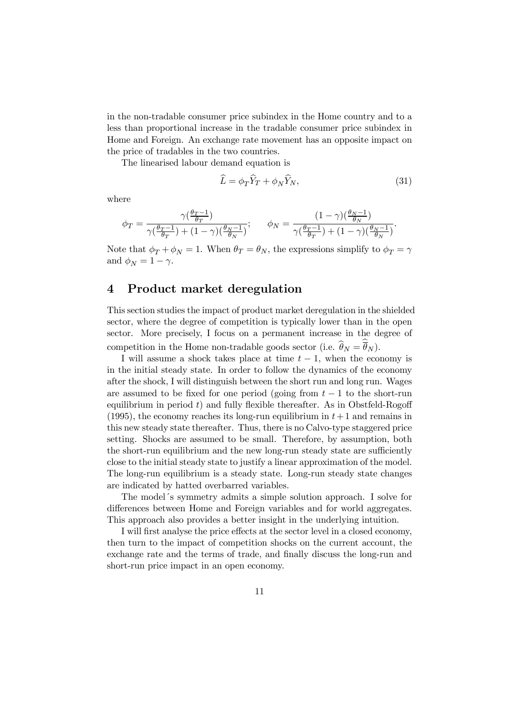in the non-tradable consumer price subindex in the Home country and to a less than proportional increase in the tradable consumer price subindex in Home and Foreign. An exchange rate movement has an opposite impact on the price of tradables in the two countries.

The linearised labour demand equation is

$$
\widehat{L} = \phi_T \widehat{Y}_T + \phi_N \widehat{Y}_N,\tag{31}
$$

where

$$
\phi_T = \frac{\gamma(\frac{\theta_T - 1}{\theta_T})}{\gamma(\frac{\theta_T - 1}{\theta_T}) + (1 - \gamma)(\frac{\theta_N - 1}{\theta_N})}; \qquad \phi_N = \frac{(1 - \gamma)(\frac{\theta_N - 1}{\theta_N})}{\gamma(\frac{\theta_T - 1}{\theta_T}) + (1 - \gamma)(\frac{\theta_N - 1}{\theta_N})}.
$$

Note that  $\phi_T + \phi_N = 1$ . When  $\theta_T = \theta_N$ , the expressions simplify to  $\phi_T = \gamma$ and  $\phi_N = 1 - \gamma$ .

# 4 Product market deregulation

This section studies the impact of product market deregulation in the shielded sector, where the degree of competition is typically lower than in the open sector. More precisely, I focus on a permanent increase in the degree of competition in the Home non-tradable goods sector (i.e.  $\theta_N = \theta_N$ ).

I will assume a shock takes place at time  $t - 1$ , when the economy is in the initial steady state. In order to follow the dynamics of the economy after the shock, I will distinguish between the short run and long run. Wages are assumed to be fixed for one period (going from  $t-1$  to the short-run equilibrium in period t) and fully flexible thereafter. As in Obstfeld-Rogoff (1995), the economy reaches its long-run equilibrium in  $t+1$  and remains in this new steady state thereafter. Thus, there is no Calvo-type staggered price setting. Shocks are assumed to be small. Therefore, by assumption, both the short-run equilibrium and the new long-run steady state are sufficiently close to the initial steady state to justify a linear approximation of the model. The long-run equilibrium is a steady state. Long-run steady state changes are indicated by hatted overbarred variables.

The model's symmetry admits a simple solution approach. I solve for differences between Home and Foreign variables and for world aggregates. This approach also provides a better insight in the underlying intuition.

I will first analyse the price effects at the sector level in a closed economy, then turn to the impact of competition shocks on the current account, the exchange rate and the terms of trade, and finally discuss the long-run and short-run price impact in an open economy.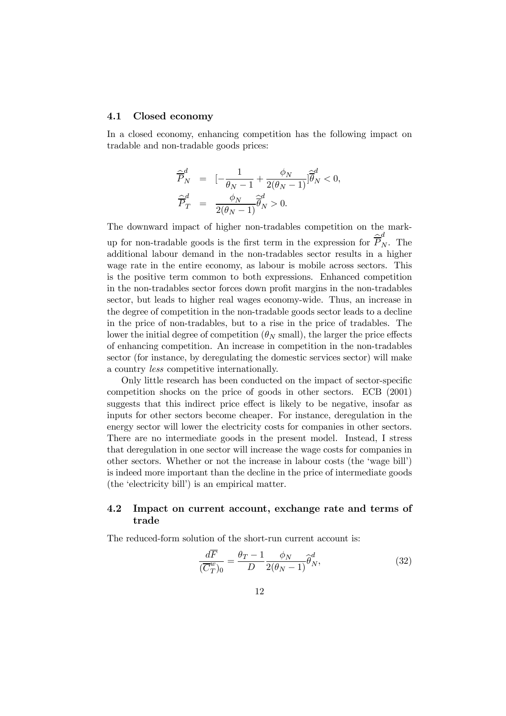### 4.1 Closed economy

In a closed economy, enhancing competition has the following impact on tradable and non-tradable goods prices:

$$
\begin{array}{rcl} \widehat{\overline{P}}^d_N &=& [-\frac{1}{\theta_N-1}+\frac{\phi_N}{2(\theta_N-1)}] \widehat{\overline{\theta}}^d_N < 0,\\ \widehat{\overline{P}}^d_T &=& \frac{\phi_N}{2(\theta_N-1)} \widehat{\overline{\theta}}^d_N > 0. \end{array}
$$

The downward impact of higher non-tradables competition on the markup for non-tradable goods is the first term in the expression for  $\widehat{\overline{P}}_N^d$ . The additional labour demand in the non-tradables sector results in a higher wage rate in the entire economy, as labour is mobile across sectors. This is the positive term common to both expressions. Enhanced competition in the non-tradables sector forces down profit margins in the non-tradables sector, but leads to higher real wages economy-wide. Thus, an increase in the degree of competition in the non-tradable goods sector leads to a decline in the price of non-tradables, but to a rise in the price of tradables. The lower the initial degree of competition  $(\theta_N \text{ small})$ , the larger the price effects of enhancing competition. An increase in competition in the non-tradables sector (for instance, by deregulating the domestic services sector) will make a country less competitive internationally.

Only little research has been conducted on the impact of sector-specific competition shocks on the price of goods in other sectors. ECB (2001) suggests that this indirect price effect is likely to be negative, insofar as inputs for other sectors become cheaper. For instance, deregulation in the energy sector will lower the electricity costs for companies in other sectors. There are no intermediate goods in the present model. Instead, I stress that deregulation in one sector will increase the wage costs for companies in other sectors. Whether or not the increase in labour costs (the `wage bill') is indeed more important than the decline in the price of intermediate goods (the `electricity bill') is an empirical matter.

### 4.2 Impact on current account, exchange rate and terms of trade

The reduced-form solution of the short-run current account is:

$$
\frac{dF}{(\overline{C}_T^w)_0} = \frac{\theta_T - 1}{D} \frac{\phi_N}{2(\theta_N - 1)} \widehat{\theta}_N^d,\tag{32}
$$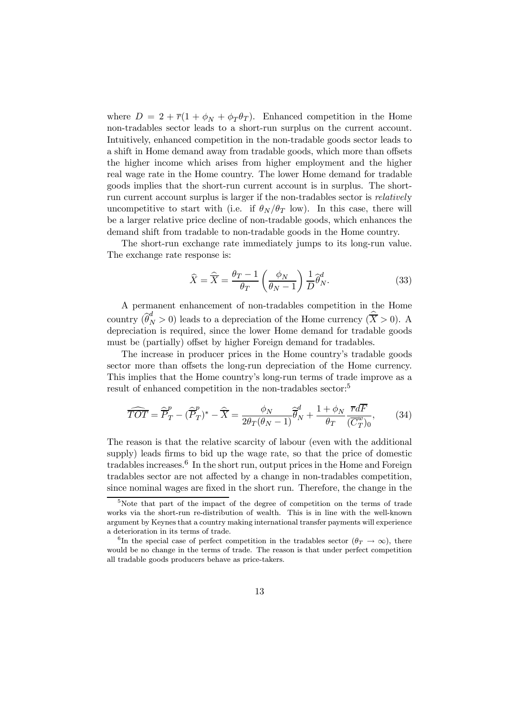where  $D = 2 + \overline{r}(1 + \phi_N + \phi_T \theta_T)$ . Enhanced competition in the Home non-tradables sector leads to a short-run surplus on the current account. Intuitively, enhanced competition in the non-tradable goods sector leads to a shift in Home demand away from tradable goods, which more than offsets the higher income which arises from higher employment and the higher real wage rate in the Home country. The lower Home demand for tradable goods implies that the short-run current account is in surplus. The shortrun current account surplus is larger if the non-tradables sector is relatively uncompetitive to start with (i.e. if  $\theta_N/\theta_T$  low). In this case, there will be a larger relative price decline of non-tradable goods, which enhances the demand shift from tradable to non-tradable goods in the Home country.

The short-run exchange rate immediately jumps to its long-run value. The exchange rate response is:

$$
\widehat{X} = \widehat{\overline{X}} = \frac{\theta_T - 1}{\theta_T} \left( \frac{\phi_N}{\theta_N - 1} \right) \frac{1}{D} \widehat{\theta}_N^d.
$$
\n(33)

A permanent enhancement of non-tradables competition in the Home country  $(\widehat{\theta}_N^d > 0)$  leads to a depreciation of the Home currency  $(\widehat{\overline{X}} > 0)$ . A depreciation is required, since the lower Home demand for tradable goods must be (partially) offset by higher Foreign demand for tradables.

The increase in producer prices in the Home country's tradable goods sector more than offsets the long-run depreciation of the Home currency. This implies that the Home country's long-run terms of trade improve as a result of enhanced competition in the non-tradables sector:<sup>5</sup>

$$
\widehat{TOT} = \widehat{\overline{P}}_T^p - (\widehat{\overline{P}}_T^p)^* - \widehat{\overline{X}} = \frac{\phi_N}{2\theta_T(\theta_N - 1)} \widehat{\overline{\theta}}_N^d + \frac{1 + \phi_N}{\theta_T} \frac{\overline{r}d\overline{F}}{(\overline{C}_T^w)_0},\tag{34}
$$

The reason is that the relative scarcity of labour (even with the additional supply) leads firms to bid up the wage rate, so that the price of domestic tradables increases. 6 In the short run, output prices in the Home and Foreign tradables sector are not affected by a change in non-tradables competition, since nominal wages are fixed in the short run. Therefore, the change in the

 $5$ Note that part of the impact of the degree of competition on the terms of trade works via the short-run re-distribution of wealth. This is in line with the well-known argument by Keynes that a country making international transfer payments will experience a deterioration in its terms of trade.

<sup>&</sup>lt;sup>6</sup>In the special case of perfect competition in the tradables sector  $(\theta_T \to \infty)$ , there would be no change in the terms of trade. The reason is that under perfect competition all tradable goods producers behave as price-takers.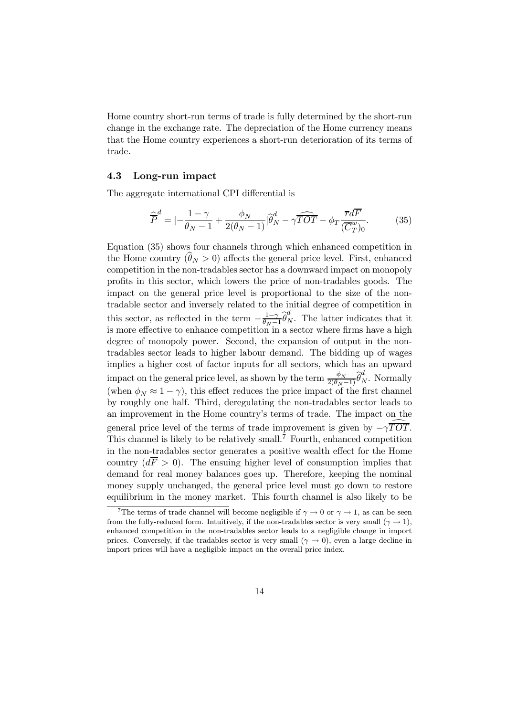Home country short-run terms of trade is fully determined by the short-run change in the exchange rate. The depreciation of the Home currency means that the Home country experiences a short-run deterioration of its terms of trade.

### 4.3 Long-run impact

The aggregate international CPI differential is

$$
\widehat{\overline{P}}^d = \left[ -\frac{1-\gamma}{\theta_N - 1} + \frac{\phi_N}{2(\theta_N - 1)} \right] \widehat{\theta}_N^d - \gamma \widehat{\overline{TOT}} - \phi_T \frac{\overline{r}d\overline{F}}{(\overline{C}_T^w)_0}. \tag{35}
$$

Equation (35) shows four channels through which enhanced competition in the Home country  $(\hat{\theta}_N > 0)$  affects the general price level. First, enhanced competition in the non-tradables sector has a downward impact on monopoly profits in this sector, which lowers the price of non-tradables goods. The impact on the general price level is proportional to the size of the nontradable sector and inversely related to the initial degree of competition in this sector, as reflected in the term  $-\frac{1-\gamma}{\theta_N-}$  $\frac{1-\gamma}{\theta_N-1}\widehat{\theta}_N^d$ . The latter indicates that it is more effective to enhance competition in a sector where firms have a high degree of monopoly power. Second, the expansion of output in the nontradables sector leads to higher labour demand. The bidding up of wages implies a higher cost of factor inputs for all sectors, which has an upward impact on the general price level, as shown by the term  $\frac{\phi_N}{2(\theta_N - 1)}$  $\frac{\phi_N}{2(\theta_N-1)} \widehat{\theta}_N^d$ . Normally (when  $\phi_N \approx 1 - \gamma$ ), this effect reduces the price impact of the first channel by roughly one half. Third, deregulating the non-tradables sector leads to an improvement in the Home country's terms of trade. The impact on the general price level of the terms of trade improvement is given by  $-\gamma \overline{TOT}$ . This channel is likely to be relatively small.<sup>7</sup> Fourth, enhanced competition in the non-tradables sector generates a positive wealth effect for the Home country  $(d\overline{F} > 0)$ . The ensuing higher level of consumption implies that demand for real money balances goes up. Therefore, keeping the nominal money supply unchanged, the general price level must go down to restore equilibrium in the money market. This fourth channel is also likely to be

<sup>&</sup>lt;sup>7</sup>The terms of trade channel will become negligible if  $\gamma \to 0$  or  $\gamma \to 1$ , as can be seen from the fully-reduced form. Intuitively, if the non-tradables sector is very small  $(\gamma \to 1)$ , enhanced competition in the non-tradables sector leads to a negligible change in import prices. Conversely, if the tradables sector is very small  $(\gamma \to 0)$ , even a large decline in import prices will have a negligible impact on the overall price index.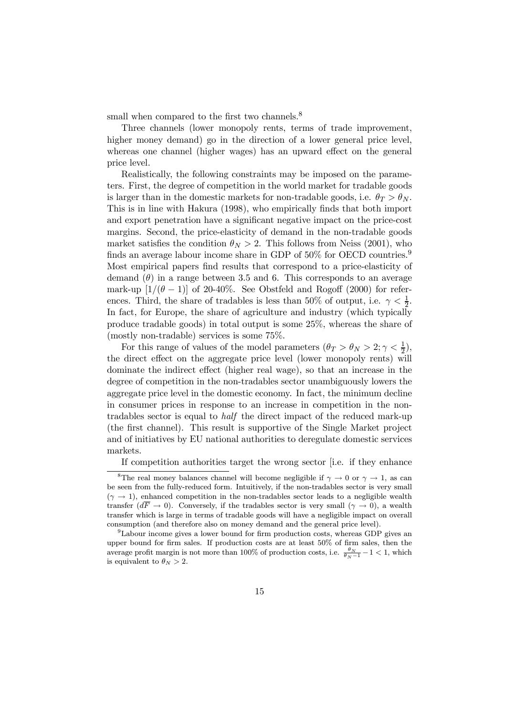small when compared to the first two channels.<sup>8</sup>

Three channels (lower monopoly rents, terms of trade improvement, higher money demand) go in the direction of a lower general price level, whereas one channel (higher wages) has an upward effect on the general price level.

Realistically, the following constraints may be imposed on the parameters. First, the degree of competition in the world market for tradable goods is larger than in the domestic markets for non-tradable goods, i.e.  $\theta_T > \theta_N$ . This is in line with Hakura (1998), who empirically finds that both import and export penetration have a significant negative impact on the price-cost margins. Second, the price-elasticity of demand in the non-tradable goods market satisfies the condition  $\theta_N > 2$ . This follows from Neiss (2001), who finds an average labour income share in GDP of  $50\%$  for OECD countries.<sup>9</sup> Most empirical papers find results that correspond to a price-elasticity of demand  $(\theta)$  in a range between 3.5 and 6. This corresponds to an average mark-up  $[1/(\theta - 1)]$  of 20-40%. See Obstfeld and Rogoff (2000) for references. Third, the share of tradables is less than 50% of output, i.e.  $\gamma < \frac{1}{2}$ . In fact, for Europe, the share of agriculture and industry (which typically produce tradable goods) in total output is some 25%, whereas the share of (mostly non-tradable) services is some 75%.

For this range of values of the model parameters  $(\theta_T > \theta_N > 2; \gamma < \frac{1}{2})$  $(\frac{1}{2}),$ the direct effect on the aggregate price level (lower monopoly rents) will dominate the indirect effect (higher real wage), so that an increase in the degree of competition in the non-tradables sector unambiguously lowers the aggregate price level in the domestic economy. In fact, the minimum decline in consumer prices in response to an increase in competition in the nontradables sector is equal to half the direct impact of the reduced mark-up (the first channel). This result is supportive of the Single Market project and of initiatives by EU national authorities to deregulate domestic services markets.

If competition authorities target the wrong sector [i.e. if they enhance

<sup>&</sup>lt;sup>8</sup>The real money balances channel will become negligible if  $\gamma \to 0$  or  $\gamma \to 1$ , as can be seen from the fully-reduced form. Intuitively, if the non-tradables sector is very small  $(\gamma \rightarrow 1)$ , enhanced competition in the non-tradables sector leads to a negligible wealth transfer  $(d\overline{F} \to 0)$ . Conversely, if the tradables sector is very small  $(\gamma \to 0)$ , a wealth transfer which is large in terms of tradable goods will have a negligible impact on overall consumption (and therefore also on money demand and the general price level).

 $9^9$ Labour income gives a lower bound for firm production costs, whereas GDP gives an upper bound for firm sales. If production costs are at least  $50\%$  of firm sales, then the average profit margin is not more than 100% of production costs, i.e.  $\frac{\theta_N}{\theta_N - 1} - 1 < 1$ , which is equivalent to  $\theta_N > 2$ .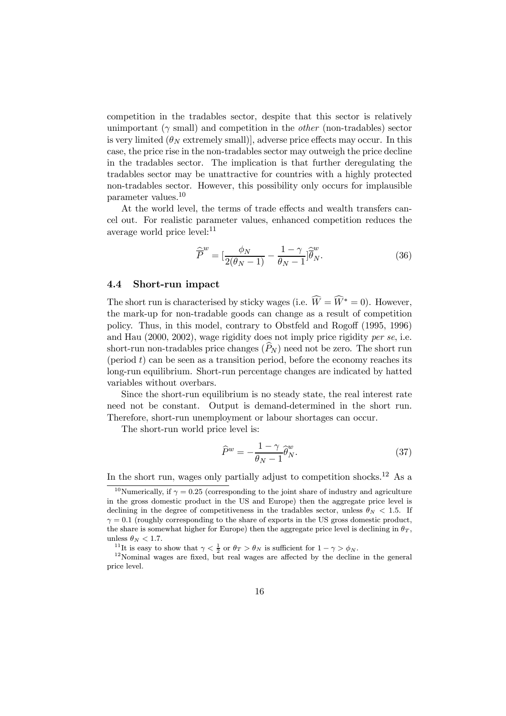competition in the tradables sector, despite that this sector is relatively unimportant  $(\gamma \text{ small})$  and competition in the *other* (non-tradables) sector is very limited  $(\theta_N \text{ extremely small})$ , adverse price effects may occur. In this case, the price rise in the non-tradables sector may outweigh the price decline in the tradables sector. The implication is that further deregulating the tradables sector may be unattractive for countries with a highly protected non-tradables sector. However, this possibility only occurs for implausible parameter values. 10

At the world level, the terms of trade effects and wealth transfers cancel out. For realistic parameter values, enhanced competition reduces the average world price level: 11

$$
\widehat{\overline{P}}^w = \left[\frac{\phi_N}{2(\theta_N - 1)} - \frac{1 - \gamma}{\theta_N - 1}\right] \widehat{\overline{\theta}}_N^w.
$$
\n(36)

### 4.4 Short-run impact

The short run is characterised by sticky wages (i.e.  $\widehat{W} = \widehat{W}^* = 0$ ). However, the mark-up for non-tradable goods can change as a result of competition policy. Thus, in this model, contrary to Obstfeld and Rogoff (1995, 1996) and Hau (2000, 2002), wage rigidity does not imply price rigidity per se, i.e. short-run non-tradables price changes  $(\widehat{P}_N)$  need not be zero. The short run (period  $t$ ) can be seen as a transition period, before the economy reaches its long-run equilibrium. Short-run percentage changes are indicated by hatted variables without overbars.

Since the short-run equilibrium is no steady state, the real interest rate need not be constant. Output is demand-determined in the short run. Therefore, short-run unemployment or labour shortages can occur.

The short-run world price level is:

$$
\widehat{P}^w = -\frac{1-\gamma}{\theta_N - 1} \widehat{\theta}_N^w. \tag{37}
$$

In the short run, wages only partially adjust to competition shocks.<sup>12</sup> As a

 $\overline{^{10}$ Numerically, if  $\gamma = 0.25$  (corresponding to the joint share of industry and agriculture in the gross domestic product in the US and Europe) then the aggregate price level is declining in the degree of competitiveness in the tradables sector, unless  $\theta_N < 1.5$ . If  $\gamma = 0.1$  (roughly corresponding to the share of exports in the US gross domestic product, the share is somewhat higher for Europe) then the aggregate price level is declining in  $\theta_T$ , unless  $\theta_N < 1.7$ .

<sup>&</sup>lt;sup>11</sup>It is easy to show that  $\gamma < \frac{1}{2}$  or  $\theta_T > \theta_N$  is sufficient for  $1 - \gamma > \phi_N$ .

 $12$ Nominal wages are fixed, but real wages are affected by the decline in the general price level.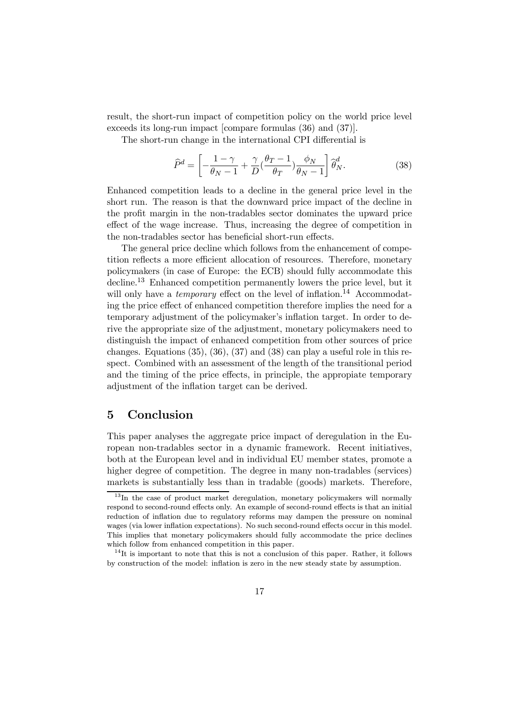result, the short-run impact of competition policy on the world price level exceeds its long-run impact [compare formulas (36) and (37)].

The short-run change in the international CPI differential is

$$
\widehat{P}^d = \left[ -\frac{1-\gamma}{\theta_N - 1} + \frac{\gamma}{D} \left( \frac{\theta_T - 1}{\theta_T} \right) \frac{\phi_N}{\theta_N - 1} \right] \widehat{\theta}_N^d. \tag{38}
$$

Enhanced competition leads to a decline in the general price level in the short run. The reason is that the downward price impact of the decline in the profit margin in the non-tradables sector dominates the upward price effect of the wage increase. Thus, increasing the degree of competition in the non-tradables sector has beneficial short-run effects.

The general price decline which follows from the enhancement of competition reflects a more efficient allocation of resources. Therefore, monetary policymakers (in case of Europe: the ECB) should fully accommodate this decline. <sup>13</sup> Enhanced competition permanently lowers the price level, but it will only have a *temporary* effect on the level of inflation.<sup>14</sup> Accommodating the price effect of enhanced competition therefore implies the need for a temporary adjustment of the policymaker's inflation target. In order to derive the appropriate size of the adjustment, monetary policymakers need to distinguish the impact of enhanced competition from other sources of price changes. Equations (35), (36), (37) and (38) can play a useful role in this respect. Combined with an assessment of the length of the transitional period and the timing of the price effects, in principle, the appropiate temporary adjustment of the inflation target can be derived.

## 5 Conclusion

This paper analyses the aggregate price impact of deregulation in the European non-tradables sector in a dynamic framework. Recent initiatives, both at the European level and in individual EU member states, promote a higher degree of competition. The degree in many non-tradables (services) markets is substantially less than in tradable (goods) markets. Therefore,

<sup>&</sup>lt;sup>13</sup>In the case of product market deregulation, monetary policymakers will normally respond to second-round effects only. An example of second-round effects is that an initial reduction of inflation due to regulatory reforms may dampen the pressure on nominal wages (via lower inflation expectations). No such second-round effects occur in this model. This implies that monetary policymakers should fully accommodate the price declines which follow from enhanced competition in this paper.

<sup>&</sup>lt;sup>14</sup>It is important to note that this is not a conclusion of this paper. Rather, it follows by construction of the model: inflation is zero in the new steady state by assumption.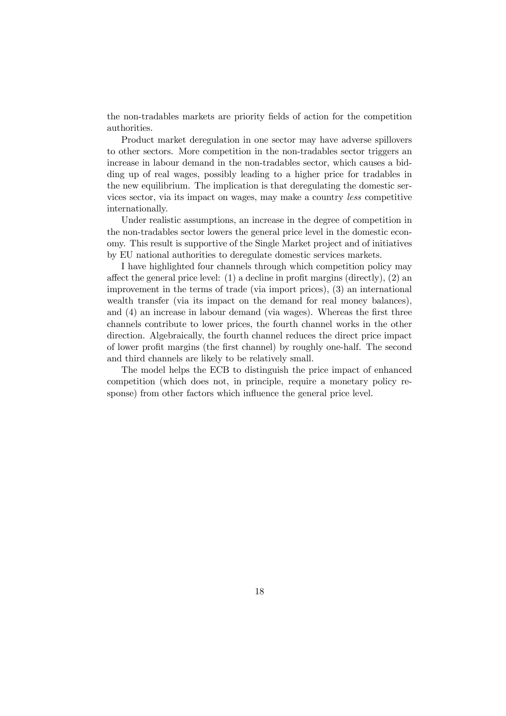the non-tradables markets are priority fields of action for the competition authorities.

Product market deregulation in one sector may have adverse spillovers to other sectors. More competition in the non-tradables sector triggers an increase in labour demand in the non-tradables sector, which causes a bidding up of real wages, possibly leading to a higher price for tradables in the new equilibrium. The implication is that deregulating the domestic services sector, via its impact on wages, may make a country less competitive internationally.

Under realistic assumptions, an increase in the degree of competition in the non-tradables sector lowers the general price level in the domestic economy. This result is supportive of the Single Market project and of initiatives by EU national authorities to deregulate domestic services markets.

I have highlighted four channels through which competition policy may affect the general price level:  $(1)$  a decline in profit margins (directly),  $(2)$  an improvement in the terms of trade (via import prices), (3) an international wealth transfer (via its impact on the demand for real money balances), and  $(4)$  an increase in labour demand (via wages). Whereas the first three channels contribute to lower prices, the fourth channel works in the other direction. Algebraically, the fourth channel reduces the direct price impact of lower profit margins (the first channel) by roughly one-half. The second and third channels are likely to be relatively small.

The model helps the ECB to distinguish the price impact of enhanced competition (which does not, in principle, require a monetary policy response) from other factors which influence the general price level.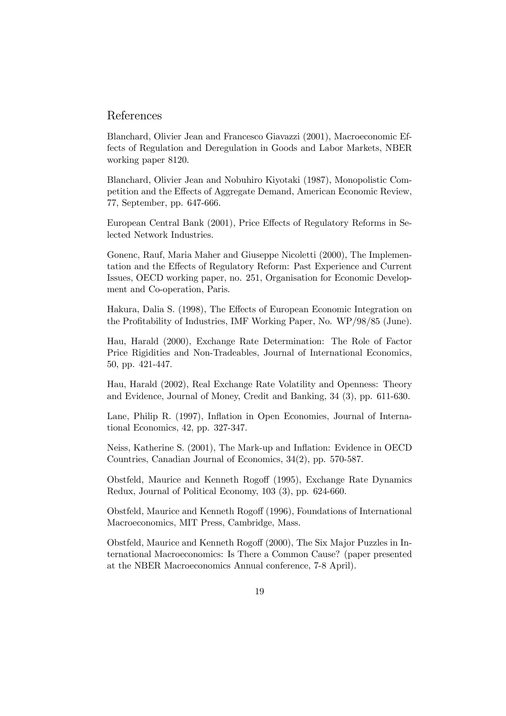### References

Blanchard, Olivier Jean and Francesco Giavazzi (2001), Macroeconomic Effects of Regulation and Deregulation in Goods and Labor Markets, NBER working paper 8120.

Blanchard, Olivier Jean and Nobuhiro Kiyotaki (1987), Monopolistic Competition and the Effects of Aggregate Demand, American Economic Review, 77, September, pp. 647-666.

European Central Bank (2001), Price Effects of Regulatory Reforms in Selected Network Industries.

Gonenc, Rauf, Maria Maher and Giuseppe Nicoletti (2000), The Implementation and the Effects of Regulatory Reform: Past Experience and Current Issues, OECD working paper, no. 251, Organisation for Economic Development and Co-operation, Paris.

Hakura, Dalia S. (1998), The Effects of European Economic Integration on the Profitability of Industries, IMF Working Paper, No. WP/98/85 (June).

Hau, Harald (2000), Exchange Rate Determination: The Role of Factor Price Rigidities and Non-Tradeables, Journal of International Economics, 50, pp. 421-447.

Hau, Harald (2002), Real Exchange Rate Volatility and Openness: Theory and Evidence, Journal of Money, Credit and Banking, 34 (3), pp. 611-630.

Lane, Philip R. (1997), Inflation in Open Economies, Journal of International Economics, 42, pp. 327-347.

Neiss, Katherine S. (2001), The Mark-up and Inflation: Evidence in OECD Countries, Canadian Journal of Economics, 34(2), pp. 570-587.

Obstfeld, Maurice and Kenneth Rogoff (1995), Exchange Rate Dynamics Redux, Journal of Political Economy, 103 (3), pp. 624-660.

Obstfeld, Maurice and Kenneth Rogoff (1996), Foundations of International Macroeconomics, MIT Press, Cambridge, Mass.

Obstfeld, Maurice and Kenneth Rogoff (2000), The Six Major Puzzles in International Macroeconomics: Is There a Common Cause? (paper presented at the NBER Macroeconomics Annual conference, 7-8 April).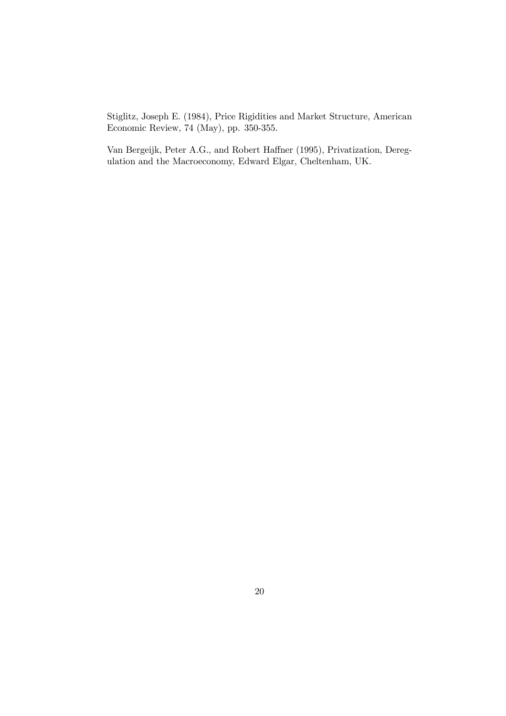Stiglitz, Joseph E. (1984), Price Rigidities and Market Structure, American Economic Review, 74 (May), pp. 350-355.

Van Bergeijk, Peter A.G., and Robert Haffner (1995), Privatization, Deregulation and the Macroeconomy, Edward Elgar, Cheltenham, UK.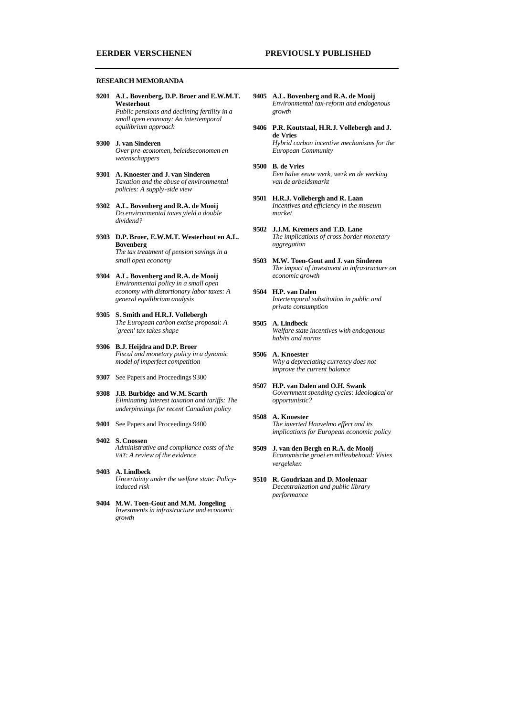#### **RESEARCH MEMORANDA**

**9201 A.L. Bovenberg, D.P. Broer and E.W.M.T. Westerhout** *Public pensions and declining fertility in a* 

*small open economy: An intertemporal equilibrium approach*

**9300 J. van Sinderen** *Over pre-economen, beleidseconomen en wetenschappers*

- **9301 A. Knoester and J. van Sinderen** *Taxation and the abuse of environmental policies: A supply-side view*
- **9302 A.L. Bovenberg and R.A. de Mooij** *Do environmental taxes yield a double dividend?*
- **9303 D.P. Broer, E.W.M.T. Westerhout en A.L. Bovenberg** *The tax treatment of pension savings in a small open economy*
- **9304 A.L. Bovenberg and R.A. de Mooij** *Environmental policy in a small open economy with distortionary labor taxes: A general equilibrium analysis*
- **9305 S. Smith and H.R.J. Vollebergh** *The European carbon excise proposal: A `green' tax takes shape*
- **9306 B.J. Heijdra and D.P. Broer** *Fiscal and monetary policy in a dynamic model of imperfect competition*
- **9307** See Papers and Proceedings 9300
- **9308 J.B. Burbidge and W.M. Scarth** *Eliminating interest taxation and tariffs: The underpinnings for recent Canadian policy*
- **9401** See Papers and Proceedings 9400

#### **9402 S. Cnossen** *Administrative and compliance costs of the VAT: A review of the evidence*

- **9403 A. Lindbeck** *Uncertainty under the welfare state: Policyinduced risk*
- **9404 M.W. Toen-Gout and M.M. Jongeling** *Investments in infrastructure and economic growth*
- **9405 A.L. Bovenberg and R.A. de Mooij** *Environmental tax-reform and endogenous growth*
- **9406 P.R. Koutstaal, H.R.J. Vollebergh and J. de Vries** *Hybrid carbon incentive mechanisms for the European Community*
- **9500 B. de Vries** *Een halve eeuw werk, werk en de werking van de arbeidsmarkt*
- **9501 H.R.J. Vollebergh and R. Laan** *Incentives and efficiency in the museum market*
- **9502 J.J.M. Kremers and T.D. Lane** *The implications of cross-border monetary aggregation*
- **9503 M.W. Toen-Gout and J. van Sinderen** *The impact of investment in infrastructure on economic growth*
- **9504 H.P. van Dalen** *Intertemporal substitution in public and private consumption*
- **9505 A. Lindbeck** *Welfare state incentives with endogenous habits and norms*
- **9506 A. Knoester** *Why a depreciating currency does not improve the current balance*
- **9507 H.P. van Dalen and O.H. Swank** *Government spending cycles: Ideological or opportunistic?*
- **9508 A. Knoester** *The inverted Haavelmo effect and its implications for European economic policy*
- **9509 J. van den Bergh en R.A. de Mooij** *Economische groei en milieubehoud: Visies vergeleken*
- **9510 R. Goudriaan and D. Moolenaar** *Decentralization and public library performance*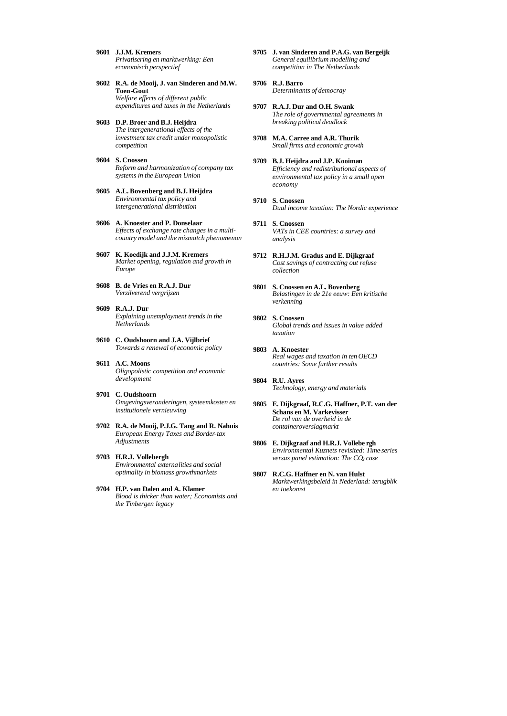- **9601 J.J.M. Kremers** *Privatisering en marktwerking: Een economisch perspectief*
- **9602 R.A. de Mooij, J. van Sinderen and M.W. Toen-Gout** *Welfare effects of different public expenditures and taxes in the Netherlands*
- **9603 D.P. Broer and B.J. Heijdra** *The intergenerational effects of the investment tax credit under monopolistic competition*
- **9604 S. Cnossen** *Reform and harmonization of company tax systems in the European Union*
- **9605 A.L. Bovenberg and B.J. Heijdra** *Environmental tax policy and intergenerational distribution*
- **9606 A. Knoester and P. Donselaar** *Effects of exchange rate changes in a multicountry model and the mismatch phenomenon*
- **9607 K. Koedijk and J.J.M. Kremers** *Market opening, regulation and growth in Europe*
- **9608 B. de Vries en R.A.J. Dur** *Verzilverend vergrijzen*
- **9609 R.A.J. Dur** *Explaining unemployment trends in the Netherlands*
- **9610 C. Oudshoorn and J.A. Vijlbrief** *Towards a renewal of economic policy*
- **9611 A.C. Moons** *Oligopolistic competition and economic development*
- **9701 C. Oudshoorn** *Omgevingsveranderingen, systeemkosten en institutionele vernieuwing*
- **9702 R.A. de Mooij, P.J.G. Tang and R. Nahuis** *European Energy Taxes and Border-tax Adjustments*
- **9703 H.R.J. Vollebergh**  *Environmental externalities and social optimality in biomass growthmarkets*
- **9704 H.P. van Dalen and A. Klamer** *Blood is thicker than water; Economists and the Tinbergen legacy*
- **9705 J. van Sinderen and P.A.G. van Bergeijk** *General equilibrium modelling and competition in The Netherlands*
- **9706 R.J. Barro** *Determinants of democray*
- **9707 R.A.J. Dur and O.H. Swank** *The role of governmental agreements in breaking political deadlock*
- **9708 M.A. Carree and A.R. Thurik** *Small firms and economic growth*
- **9709 B.J. Heijdra and J.P. Kooiman** *Efficiency and redistributional aspects of environmental tax policy in a small open economy*
- **9710 S. Cnossen** *Dual income taxation: The Nordic experience*
- **9711 S. Cnossen** *VATs in CEE countries: a survey and analysis*
- **9712 R.H.J.M. Gradus and E. Dijkgraaf** *Cost savings of contracting out refuse collection*
- **9801 S. Cnossen en A.L. Bovenberg** *Belastingen in de 21e eeuw: Een kritische verkenning*
- **9802 S. Cnossen** *Global trends and issues in value added taxation*
- **9803 A. Knoester** *Real wages and taxation in ten OECD countries: Some further results*
- **9804 R.U. Ayres** *Technology, energy and materials*
- **9805 E. Dijkgraaf, R.C.G. Haffner, P.T. van der Schans en M. Varkevisser** *De rol van de overheid in de containeroverslagmarkt*
- **9806 E. Dijkgraaf and H.R.J. Vollebe rgh** *Environmental Kuznets revisited: Time-series versus panel estimation: The CO2 case*
- **9807 R.C.G. Haffner en N. van Hulst** *Marktwerkingsbeleid in Nederland: terugblik en toekomst*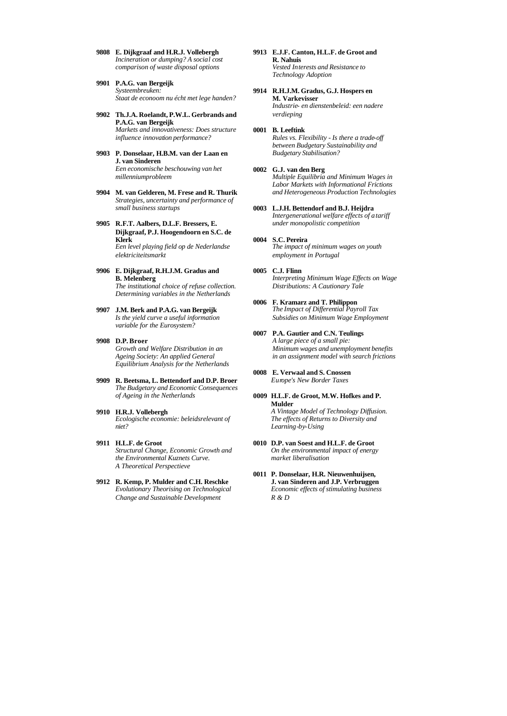- **9808 E. Dijkgraaf and H.R.J. Vollebergh** *Incineration or dumping? A social cost comparison of waste disposal options*
- **9901 P.A.G. van Bergeijk** *Systeembreuken: Staat de econoom nu écht met lege handen?*
- **9902 Th.J.A. Roelandt, P.W.L. Gerbrands and P.A.G. van Bergeijk** *Markets and innovativeness: Does structure influence innovation performance?*
- **9903 P. Donselaar, H.B.M. van der Laan en J. van Sinderen** *Een economische beschouwing van het millenniumprobleem*
- **9904 M. van Gelderen, M. Frese and R. Thurik** *Strategies, uncertainty and performance of small business startups*
- **9905 R.F.T. Aalbers, D.L.F. Bressers, E. Dijkgraaf, P.J. Hoogendoorn en S.C. de Klerk** *Een level playing field op de Nederlandse elektriciteitsmarkt*
- **9906 E. Dijkgraaf, R.H.J.M. Gradus and B. Melenberg** *The institutional choice of refuse collection. Determining variables in the Netherlands*
- **9907 J.M. Berk and P.A.G. van Bergeijk** *Is the yield curve a useful information variable for the Eurosystem?*
- **9908 D.P. Broer** *Growth and Welfare Distribution in an Ageing Society: An applied General Equilibrium Analysis for the Netherlands*
- **9909 R. Beetsma, L. Bettendorf and D.P. Broer** *The Budgetary and Economic Consequences of Ageing in the Netherlands*
- **9910 H.R.J. Vollebergh** *Ecologische economie: beleidsrelevant of niet?*
- **9911 H.L.F. de Groot** *Structural Change, Economic Growth and the Environmental Kuznets Curve. A Theoretical Perspectieve*
- **9912 R. Kemp, P. Mulder and C.H. Reschke** *Evolutionary Theorising on Technological Change and Sustainable Development*
- **9913 E.J.F. Canton, H.L.F. de Groot and R. Nahuis** *Vested Interests and Resistance to Technology Adoption*
- **9914 R.H.J.M. Gradus, G.J. Hospers en M. Varkevisser** *Industrie- en dienstenbeleid: een nadere*

*verdieping*

- **0001 B. Leeftink** *Rules vs. Flexibility - Is there a trade-off between Budgetary Sustainability and Budgetary Stabilisation?*
- **0002 G.J. van den Berg** *Multiple Equilibria and Minimum Wages in Labor Markets with Informational Frictions and Heterogeneous Production Technologies*
- **0003 L.J.H. Bettendorf and B.J. Heijdra** *Intergenerational welfare effects of a tariff under monopolistic competition*
- **0004 S.C. Pereira** *The impact of minimum wages on youth employment in Portugal*
- **0005 C.J. Flinn** *Interpreting Minimum Wage Effects on Wage Distributions: A Cautionary Tale*
- **0006 F. Kramarz and T. Philippon** *The Impact of Differential Payroll Tax Subsidies on Minimum Wage Employment*
- **0007 P.A. Gautier and C.N. Teulings** *A large piece of a small pie: Minimum wages and unemployment benefits in an assignment model with search frictions*
- **0008 E. Verwaal and S. Cnossen** *Europe's New Border Taxes*
- **0009 H.L.F. de Groot, M.W. Hofkes and P. Mulder** *A Vintage Model of Technology Diffusion. The effects of Returns to Diversity and Learning-by-Using*
- **0010 D.P. van Soest and H.L.F. de Groot** *On the environmental impact of energy market liberalisation*
- **0011 P. Donselaar, H.R. Nieuwenhuijsen, J. van Sinderen and J.P. Verbruggen** *Economic effects of stimulating business R & D*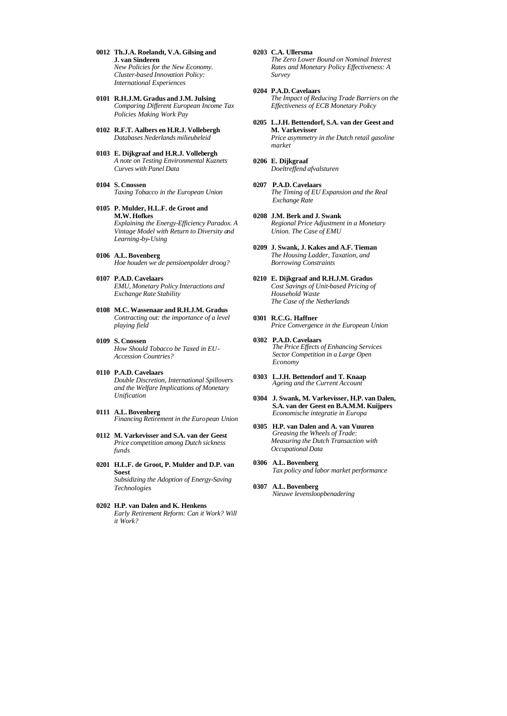- **0012 Th.J.A. Roelandt, V.A. Gilsing and J. van Sinderen** *New Policies for the New Economy. Cluster-based Innovation Policy: International Experiences*
- **0101 R.H.J.M. Gradus and J.M. Julsing** *Comparing Different European Income Tax Policies Making Work Pay*
- **0102 R.F.T. Aalbers en H.R.J. Vollebergh** *Databases Nederlands milieubeleid*
- **0103 E. Dijkgraaf and H.R.J. Vollebergh** *A note on Testing Environmental Kuznets Curves with Panel Data*
- **0104 S. Cnossen** *Taxing Tobacco in the European Union*
- **0105 P. Mulder, H.L.F. de Groot and M.W. Hofkes** *Explaining the Energy-Efficiency Paradox. A Vintage Model with Return to Diversity and Learning-by-Using*
- **0106 A.L. Bovenberg** *Hoe houden we de pensioenpolder droog?*
- **0107 P.A.D. Cavelaars** *EMU, Monetary Policy Interactions and Exchange Rate Stability*
- **0108 M.C. Wassenaar and R.H.J.M. Gradus** *Contracting out: the importance of a level playing field*
- **0109 S. Cnossen** *How Should Tobacco be Taxed in EU-Accession Countries?*
- **0110 P.A.D. Cavelaars** *Double Discretion, International Spillovers and the Welfare Implications of Monetary Unification*
- **0111 A.L. Bovenberg** *Financing Retirement in the European Union*
- **0112 M. Varkevisser and S.A. van der Geest** *Price competition among Dutch sickness funds*
- **0201 H.L.F. de Groot, P. Mulder and D.P. van Soest** *Subsidizing the Adoption of Energy-Saving Technologies*
- **0202 H.P. van Dalen and K. Henkens** *Early Retirement Reform: Can it Work? Will it Work?*

**0203 C.A. Ullersma** *The Zero Lower Bound on Nominal Interest Rates and Monetary Policy Effectiveness: A Survey*

- **0204 P.A.D. Cavelaars** *The Impact of Reducing Trade Barriers on the Effectiveness of ECB Monetary Policy*
- **0205 L.J.H. Bettendorf, S.A. van der Geest and M. Varkevisser** *Price asymmetry in the Dutch retail gasoline*
- **0206 E. Dijkgraaf**

*Doeltreffend afvalsturen*

*market*

- **0207 P.A.D. Cavelaars** *The Timing of EU Expansion and the Real Exchange Rate*
- **0208 J.M. Berk and J. Swank** *Regional Price Adjustment in a Monetary Union. The Case of EMU*
- **0209 J. Swank, J. Kakes and A.F. Tieman** *The Housing Ladder, Taxation, and Borrowing Constraints*
- **0210 E. Dijkgraaf and R.H.J.M. Gradus** *Cost Savings of Unit-based Pricing of Household Waste The Case of the Netherlands*
- **0301 R.C.G. Haffner** *Price Convergence in the European Union*
- **0302 P.A.D. Cavelaars** *The Price Effects of Enhancing Services Sector Competition in a Large Open Economy*
- **0303 L.J.H. Bettendorf and T. Knaap** *Ageing and the Current Account*
- **0304 J. Swank, M. Varkevisser, H.P. van Dalen, S.A. van der Geest en B.A.M.M. Kuijpers** *Economische integratie in Europa*
- **0305 H.P. van Dalen and A. van Vuuren** *Greasing the Wheels of Trade: Measuring the Dutch Transaction with Occupational Data*
- **0306 A.L. Bovenberg** *Tax policy and labor market performance*
- **0307 A.L. Bovenberg** *Nieuwe levensloopbenadering*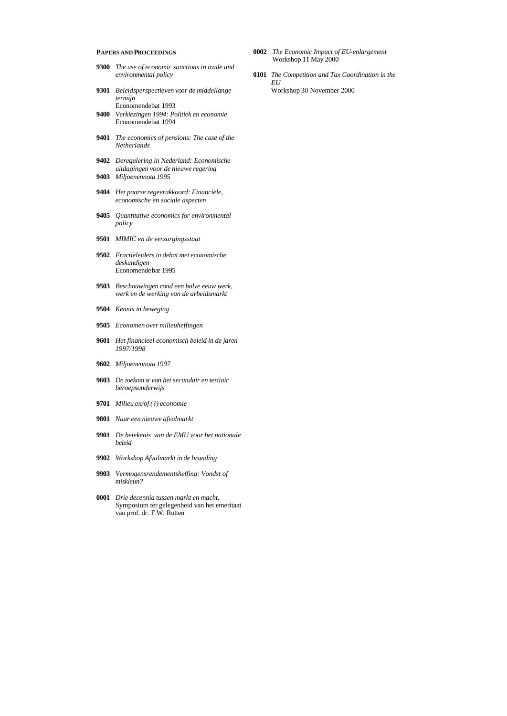#### **PAPERS AND PROCEEDINGS**

- **9300** *The use of economic sanctions in trade and environmental policy*
- **9301** *Beleidsperspectieven voor de middellange termijn* Economendebat 1993
- **9400** *Verkiezingen 1994: Politiek en economie* Economendebat 1994
- **9401** *The economics of pensions: The case of the Netherlands*
- **9402** *Deregulering in Nederland: Economische uitdagingen voor de nieuwe regering*
- **9403** *Miljoenennota 1995*
- **9404** *Het paarse regeerakkoord: Financiële, economische en sociale aspecten*
- **9405** *Quantitative economics for environmental policy*
- **9501** *MIMIC en de verzorgingsstaat*
- **9502** *Fractieleiders in debat met economische deskundigen* Economendebat 1995
- **9503** *Beschouwingen rond een halve eeuw werk, werk en de werking van de arbeidsmarkt*
- **9504** *Kennis in beweging*
- **9505** *Economen over milieuheffingen*
- **9601** *Het financieel-economisch beleid in de jaren 1997/1998*
- **9602** *Miljoenennota 1997*
- **9603** *De toekom st van het secundair en tertiair beroepsonderwijs*
- **9701** *Milieu en/of (?) economie*
- **9801** *Naar een nieuwe afvalmarkt*
- **9901** *De betekenis van de EMU voor het nationale beleid*
- **9902** *Workshop Afvalmarkt in de branding*
- **9903** *Vermogensrendementsheffing: Vondst of miskleun?*
- **0001** *Drie decennia tussen markt en macht.* Symposium ter gelegenheid van het emeritaat van prof. dr. F.W. Rutten
- **0002** *The Economic Impact of EU-enlargement*  Workshop 11 May 2000
- **0101** *The Competition and Tax Coordination in the EU* Workshop 30 November 2000